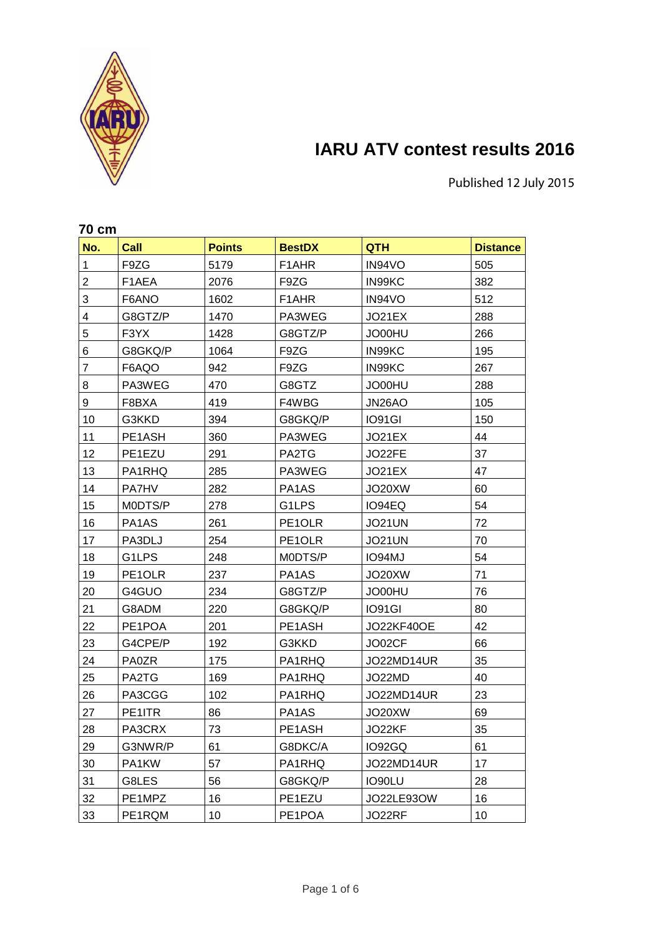

# **IARU ATV contest results 2016**

Published 12 July 2015

|                | 70 cm        |               |                                |                   |                 |  |
|----------------|--------------|---------------|--------------------------------|-------------------|-----------------|--|
| No.            | Call         | <b>Points</b> | <b>BestDX</b>                  | <b>QTH</b>        | <b>Distance</b> |  |
| 1              | F9ZG         | 5179          | F <sub>1</sub> AHR             | IN94VO            | 505             |  |
| $\overline{2}$ | F1AEA        | 2076          | F9ZG                           | IN99KC            | 382             |  |
| 3              | F6ANO        | 1602          | F1AHR                          | IN94VO            | 512             |  |
| 4              | G8GTZ/P      | 1470          | PA3WEG                         | JO21EX            | 288             |  |
| 5              | F3YX         | 1428          | G8GTZ/P                        | JO00HU            | 266             |  |
| 6              | G8GKQ/P      | 1064          | F9ZG                           | IN99KC            | 195             |  |
| $\overline{7}$ | F6AQO        | 942           | F9ZG                           | IN99KC            | 267             |  |
| 8              | PA3WEG       | 470           | G8GTZ                          | JO00HU            | 288             |  |
| 9              | F8BXA        | 419           | F4WBG                          | JN26AO            | 105             |  |
| 10             | G3KKD        | 394           | G8GKQ/P                        | IO91GI            | 150             |  |
| 11             | PE1ASH       | 360           | PA3WEG                         | JO21EX            | 44              |  |
| 12             | PE1EZU       | 291           | PA2TG                          | JO22FE            | 37              |  |
| 13             | PA1RHQ       | 285           | PA3WEG                         | JO21EX            | 47              |  |
| 14             | <b>PA7HV</b> | 282           | PA1AS                          | JO20XW            | 60              |  |
| 15             | MODTS/P      | 278           | G1LPS                          | IO94EQ            | 54              |  |
| 16             | PA1AS        | 261           | PE1OLR                         | JO21UN            | 72              |  |
| 17             | PA3DLJ       | 254           | PE1OLR                         | <b>JO21UN</b>     | 70              |  |
| 18             | G1LPS        | 248           | M0DTS/P                        | IO94MJ            | 54              |  |
| 19             | PE1OLR       | 237           | PA1AS                          | JO20XW            | 71              |  |
| 20             | G4GUO        | 234           | G8GTZ/P                        | JO00HU            | 76              |  |
| 21             | G8ADM        | 220           | G8GKQ/P                        | IO91GI            | 80              |  |
| 22             | PE1POA       | 201           | PE1ASH                         | <b>JO22KF40OE</b> | 42              |  |
| 23             | G4CPE/P      | 192           | G3KKD                          | JO02CF            | 66              |  |
| 24             | <b>PA0ZR</b> | 175           | PA1RHQ                         | JO22MD14UR        | 35              |  |
| 25             | PA2TG        | 169           | PA1RHQ                         | JO22MD            | 40              |  |
| 26             | PA3CGG       | 102           | PA1RHQ                         | JO22MD14UR        | 23              |  |
| 27             | PE1ITR       | 86            | PA <sub>1</sub> A <sub>S</sub> | JO20XW            | 69              |  |
| 28             | PA3CRX       | 73            | PE1ASH                         | JO22KF            | 35              |  |
| 29             | G3NWR/P      | 61            | G8DKC/A                        | IO92GQ            | 61              |  |
| 30             | PA1KW        | 57            | PA1RHQ                         | JO22MD14UR        | 17              |  |
| 31             | G8LES        | 56            | G8GKQ/P                        | IO90LU            | 28              |  |
| 32             | PE1MPZ       | 16            | PE1EZU                         | JO22LE93OW        | 16              |  |
| 33             | PE1RQM       | 10            | PE1POA                         | JO22RF            | 10              |  |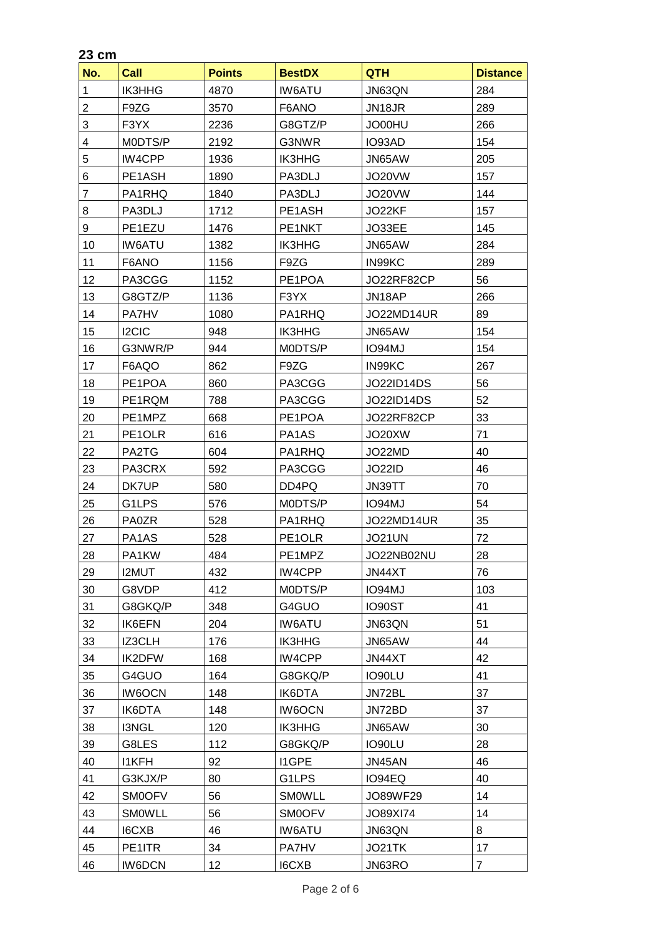# **23 cm**

| No. | <b>Call</b>   | <b>Points</b> | <b>BestDX</b> | <b>QTH</b>        | <b>Distance</b> |
|-----|---------------|---------------|---------------|-------------------|-----------------|
| 1   | <b>IK3HHG</b> | 4870          | <b>IW6ATU</b> | JN63QN            | 284             |
| 2   | F9ZG          | 3570          | F6ANO         | JN18JR            | 289             |
| 3   | F3YX          | 2236          | G8GTZ/P       | JO00HU            | 266             |
| 4   | M0DTS/P       | 2192          | G3NWR         | IO93AD            | 154             |
| 5   | IW4CPP        | 1936          | <b>IK3HHG</b> | JN65AW            | 205             |
| 6   | PE1ASH        | 1890          | PA3DLJ        | JO20VW            | 157             |
| 7   | PA1RHQ        | 1840          | PA3DLJ        | JO20VW            | 144             |
| 8   | PA3DLJ        | 1712          | PE1ASH        | JO22KF            | 157             |
| 9   | PE1EZU        | 1476          | PE1NKT        | JO33EE            | 145             |
| 10  | <b>IW6ATU</b> | 1382          | <b>IK3HHG</b> | JN65AW            | 284             |
| 11  | F6ANO         | 1156          | F9ZG          | IN99KC            | 289             |
| 12  | PA3CGG        | 1152          | PE1POA        | JO22RF82CP        | 56              |
| 13  | G8GTZ/P       | 1136          | F3YX          | JN18AP            | 266             |
| 14  | <b>PA7HV</b>  | 1080          | PA1RHQ        | JO22MD14UR        | 89              |
| 15  | I2CIC         | 948           | <b>IK3HHG</b> | JN65AW            | 154             |
| 16  | G3NWR/P       | 944           | M0DTS/P       | <b>IO94MJ</b>     | 154             |
| 17  | F6AQO         | 862           | F9ZG          | IN99KC            | 267             |
| 18  | PE1POA        | 860           | PA3CGG        | <b>JO22ID14DS</b> | 56              |
| 19  | PE1RQM        | 788           | PA3CGG        | JO22ID14DS        | 52              |
| 20  | PE1MPZ        | 668           | PE1POA        | JO22RF82CP        | 33              |
| 21  | PE1OLR        | 616           | PA1AS         | JO20XW            | 71              |
| 22  | PA2TG         | 604           | PA1RHQ        | JO22MD            | 40              |
| 23  | PA3CRX        | 592           | PA3CGG        | JO22ID            | 46              |
| 24  | DK7UP         | 580           | DD4PQ         | JN39TT            | 70              |
| 25  | G1LPS         | 576           | MODTS/P       | IO94MJ            | 54              |
| 26  | PA0ZR         | 528           | PA1RHQ        | JO22MD14UR        | 35              |
| 27  | PA1AS         | 528           | PE1OLR        | <b>JO21UN</b>     | 72              |
| 28  | PA1KW         | 484           | PE1MPZ        | JO22NB02NU        | 28              |
| 29  | <b>I2MUT</b>  | 432           | IW4CPP        | JN44XT            | 76              |
| 30  | G8VDP         | 412           | M0DTS/P       | IO94MJ            | 103             |
| 31  | G8GKQ/P       | 348           | G4GUO         | IO90ST            | 41              |
| 32  | IK6EFN        | 204           | <b>IW6ATU</b> | JN63QN            | 51              |
| 33  | IZ3CLH        | 176           | <b>IK3HHG</b> | JN65AW            | 44              |
| 34  | IK2DFW        | 168           | IW4CPP        | JN44XT            | 42              |
| 35  | G4GUO         | 164           | G8GKQ/P       | IO90LU            | 41              |
| 36  | <b>IW6OCN</b> | 148           | IK6DTA        | JN72BL            | 37              |
| 37  | IK6DTA        | 148           | <b>IW6OCN</b> | JN72BD            | 37              |
| 38  | <b>I3NGL</b>  | 120           | <b>IK3HHG</b> | JN65AW            | 30              |
| 39  | G8LES         | 112           | G8GKQ/P       | IO90LU            | 28              |
| 40  | <b>I1KFH</b>  | 92            | <b>I1GPE</b>  | JN45AN            | 46              |
| 41  | G3KJX/P       | 80            | G1LPS         | IO94EQ            | 40              |
| 42  | <b>SM0OFV</b> | 56            | <b>SMOWLL</b> | JO89WF29          | 14              |
| 43  | SMOWLL        | 56            | <b>SMOOFV</b> | JO89XI74          | 14              |
| 44  | I6CXB         | 46            | <b>IW6ATU</b> | JN63QN            | 8               |
| 45  | PE1ITR        | 34            | PA7HV         | JO21TK            | 17              |
| 46  | <b>IW6DCN</b> | 12            | I6CXB         | JN63RO            | $\overline{7}$  |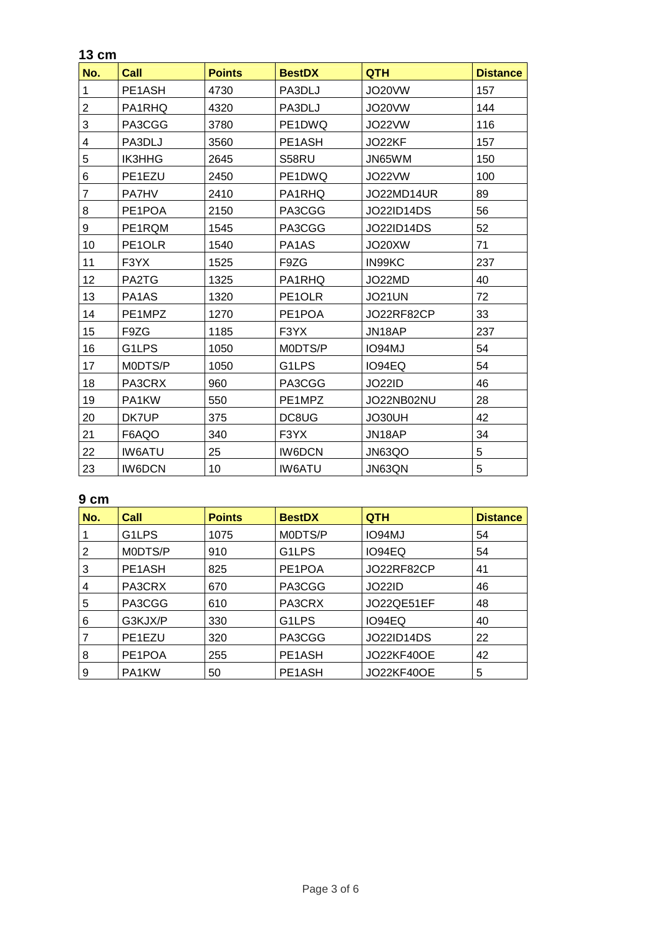#### **13 cm**

| No.            | Call                           | <b>Points</b> | <b>BestDX</b>       | <b>QTH</b>        | <b>Distance</b> |
|----------------|--------------------------------|---------------|---------------------|-------------------|-----------------|
| 1              | PE1ASH                         | 4730          | PA3DLJ              | JO20VW            | 157             |
| $\overline{2}$ | PA1RHQ                         | 4320          | PA3DLJ              | JO20VW            | 144             |
| 3              | PA3CGG                         | 3780          | PE1DWQ              | JO22VW            | 116             |
| 4              | PA3DLJ                         | 3560          | PE1ASH              | JO22KF            | 157             |
| 5              | <b>IK3HHG</b>                  | 2645          | S58RU               | JN65WM            | 150             |
| 6              | PE1EZU                         | 2450          | PE1DWQ              | JO22VW            | 100             |
| $\overline{7}$ | <b>PA7HV</b>                   | 2410          | PA1RHQ              | JO22MD14UR        | 89              |
| 8              | PE1POA                         | 2150          | PA3CGG              | JO22ID14DS        | 56              |
| 9              | PE1RQM                         | 1545          | PA3CGG              | <b>JO22ID14DS</b> | 52              |
| 10             | PE1OLR                         | 1540          | PA1AS               | JO20XW            | 71              |
| 11             | F3YX                           | 1525          | F9ZG                | IN99KC            | 237             |
| 12             | PA2TG                          | 1325          | PA1RHQ              | JO22MD            | 40              |
| 13             | PA <sub>1</sub> A <sub>S</sub> | 1320          | PE <sub>1</sub> OLR | JO21UN            | 72              |
| 14             | PE1MPZ                         | 1270          | PE1POA              | JO22RF82CP        | 33              |
| 15             | F9ZG                           | 1185          | F3YX                | JN18AP            | 237             |
| 16             | G1LPS                          | 1050          | M0DTS/P             | IO94MJ            | 54              |
| 17             | M0DTS/P                        | 1050          | G1LPS               | IO94EQ            | 54              |
| 18             | PA3CRX                         | 960           | PA3CGG              | <b>JO22ID</b>     | 46              |
| 19             | PA1KW                          | 550           | PE1MPZ              | JO22NB02NU        | 28              |
| 20             | DK7UP                          | 375           | DC8UG               | JO30UH            | 42              |
| 21             | F6AQO                          | 340           | F3YX                | JN18AP            | 34              |
| 22             | <b>IW6ATU</b>                  | 25            | <b>IW6DCN</b>       | JN63QO            | 5               |
| 23             | <b>IW6DCN</b>                  | 10            | <b>IW6ATU</b>       | JN63QN            | 5               |

## **9 cm**

| No. | Call    | <b>Points</b> | <b>BestDX</b>      | <b>QTH</b>        | <b>Distance</b> |
|-----|---------|---------------|--------------------|-------------------|-----------------|
|     | G1LPS   | 1075          | M0DTS/P            | IO94MJ            | 54              |
| 2   | M0DTS/P | 910           | G <sub>1</sub> LPS | IO94EQ            | 54              |
| 3   | PE1ASH  | 825           | PE1POA             | JO22RF82CP        | 41              |
| 4   | PA3CRX  | 670           | PA3CGG             | <b>JO22ID</b>     | 46              |
| 5   | PA3CGG  | 610           | PA3CRX             | JO22QE51EF        | 48              |
| 6   | G3KJX/P | 330           | G <sub>1</sub> LPS | IO94EQ            | 40              |
|     | PE1EZU  | 320           | PA3CGG             | <b>JO22ID14DS</b> | 22              |
| 8   | PE1POA  | 255           | PE1ASH             | <b>JO22KF40OE</b> | 42              |
| 9   | PA1KW   | 50            | PE1ASH             | <b>JO22KF40OE</b> | 5               |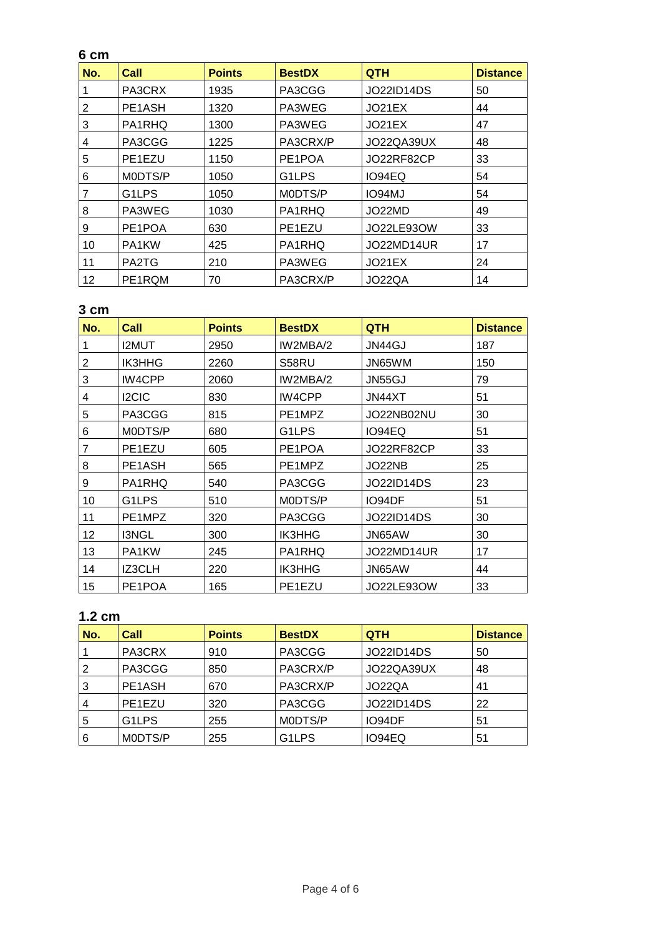#### **6 cm**

| No. | Call                | <b>Points</b> | <b>BestDX</b>       | <b>QTH</b>        | <b>Distance</b> |
|-----|---------------------|---------------|---------------------|-------------------|-----------------|
|     | PA3CRX              | 1935          | PA3CGG              | <b>JO22ID14DS</b> | 50              |
| 2   | PE1ASH              | 1320          | PA3WEG              | JO21EX            | 44              |
| 3   | PA1RHQ              | 1300          | PA3WEG              | JO21EX            | 47              |
| 4   | PA3CGG              | 1225          | PA3CRX/P            | JO22QA39UX        | 48              |
| 5   | PE <sub>1</sub> EZU | 1150          | PE <sub>1</sub> POA | JO22RF82CP        | 33              |
| 6   | MODTS/P             | 1050          | G1LPS               | IO94EQ            | 54              |
| 7   | G1LPS               | 1050          | M0DTS/P             | IO94MJ            | 54              |
| 8   | PA3WEG              | 1030          | PA1RHQ              | JO22MD            | 49              |
| 9   | PE <sub>1</sub> POA | 630           | PE1EZU              | JO22LE930W        | 33              |
| 10  | PA1KW               | 425           | PA1RHQ              | JO22MD14UR        | 17              |
| 11  | PA2TG               | 210           | PA3WEG              | JO21EX            | 24              |
| 12  | PE1RQM              | 70            | PA3CRX/P            | JO22QA            | 14              |

## **3 cm**

| No. | Call          | <b>Points</b> | <b>BestDX</b> | <b>QTH</b>        | <b>Distance</b> |
|-----|---------------|---------------|---------------|-------------------|-----------------|
|     | <b>I2MUT</b>  | 2950          | IW2MBA/2      | JN44GJ            | 187             |
| 2   | <b>IK3HHG</b> | 2260          | S58RU         | JN65WM            | 150             |
| 3   | IW4CPP        | 2060          | IW2MBA/2      | JN55GJ            | 79              |
| 4   | <b>I2CIC</b>  | 830           | IW4CPP        | JN44XT            | 51              |
| 5   | PA3CGG        | 815           | PE1MPZ        | JO22NB02NU        | 30              |
| 6   | MODTS/P       | 680           | G1LPS         | IO94EQ            | 51              |
| 7   | PE1EZU        | 605           | PE1POA        | JO22RF82CP        | 33              |
| 8   | PE1ASH        | 565           | PE1MPZ        | JO22NB            | 25              |
| 9   | PA1RHQ        | 540           | PA3CGG        | <b>JO22ID14DS</b> | 23              |
| 10  | G1LPS         | 510           | M0DTS/P       | IO94DF            | 51              |
| 11  | PE1MPZ        | 320           | PA3CGG        | <b>JO22ID14DS</b> | 30              |
| 12  | I3NGL         | 300           | <b>IK3HHG</b> | JN65AW            | 30              |
| 13  | PA1KW         | 245           | PA1RHQ        | JO22MD14UR        | 17              |
| 14  | IZ3CLH        | 220           | <b>IK3HHG</b> | JN65AW            | 44              |
| 15  | PE1POA        | 165           | PE1EZU        | <b>JO22LE93OW</b> | 33              |

## **1.2 cm**

| No. | Call    | <b>Points</b> | <b>BestDX</b> | <b>QTH</b>        | <b>Distance</b> |
|-----|---------|---------------|---------------|-------------------|-----------------|
|     | PA3CRX  | 910           | PA3CGG        | <b>JO22ID14DS</b> | 50              |
| 2   | PA3CGG  | 850           | PA3CRX/P      | JO22QA39UX        | 48              |
| 3   | PE1ASH  | 670           | PA3CRX/P      | JO22QA            | 41              |
|     | PE1EZU  | 320           | PA3CGG        | <b>JO22ID14DS</b> | 22              |
| 5   | G1LPS   | 255           | M0DTS/P       | IO94DF            | 51              |
| 6   | M0DTS/P | 255           | G1LPS         | IO94EQ            | 51              |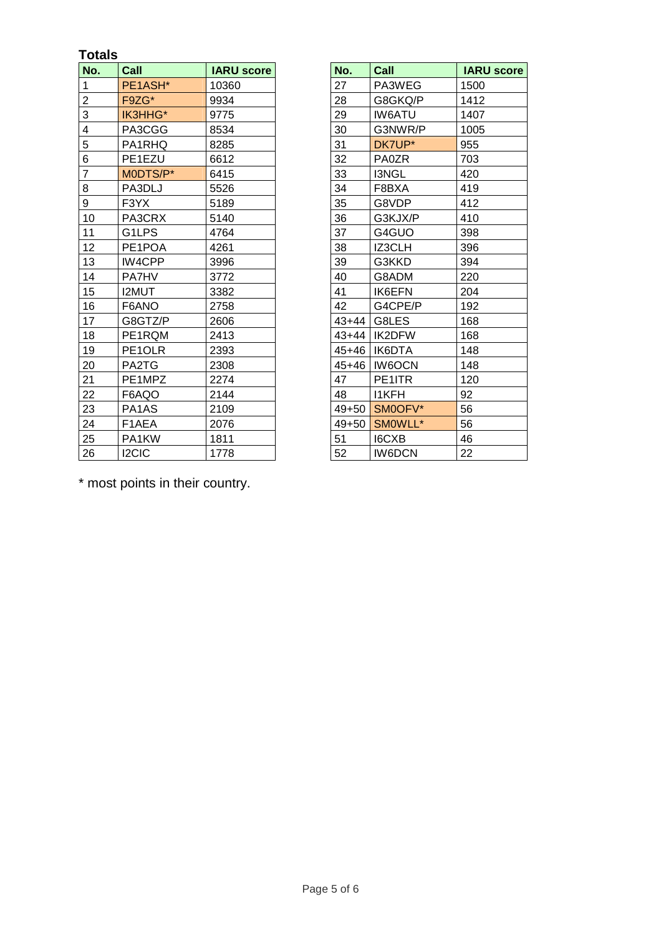### **Totals**

| No.            | Call               | <b>IARU score</b> | No.       | Call                | <b>IARU score</b> |
|----------------|--------------------|-------------------|-----------|---------------------|-------------------|
| 1              | PE1ASH*            | 10360             | 27        | PA3WEG              | 1500              |
| $\overline{2}$ | F9ZG*              | 9934              | 28        | G8GKQ/P             | 1412              |
| 3              | IK3HHG*            | 9775              | 29        | <b>IW6ATU</b>       | 1407              |
| 4              | PA3CGG             | 8534              | 30        | G3NWR/P             | 1005              |
| 5              | PA1RHQ             | 8285              | 31        | DK7UP*              | 955               |
| 6              | PE1EZU             | 6612              | 32        | <b>PA0ZR</b>        | 703               |
| $\overline{7}$ | MODTS/P*           | 6415              | 33        | I3NGL               | 420               |
| 8              | PA3DLJ             | 5526              | 34        | F8BXA               | 419               |
| 9              | F3YX               | 5189              | 35        | G8VDP               | 412               |
| 10             | PA3CRX             | 5140              | 36        | G3KJX/P             | 410               |
| 11             | G1LPS              | 4764              | 37        | G4GUO               | 398               |
| 12             | PE1POA             | 4261              | 38        | <b>IZ3CLH</b>       | 396               |
| 13             | IW4CPP             | 3996              | 39        | G3KKD               | 394               |
| 14             | <b>PA7HV</b>       | 3772              | 40        | G8ADM               | 220               |
| 15             | <b>I2MUT</b>       | 3382              | 41        | <b>IK6EFN</b>       | 204               |
| 16             | F6ANO              | 2758              | 42        | G4CPE/P             | 192               |
| 17             | G8GTZ/P            | 2606              | $43 + 44$ | G8LES               | 168               |
| 18             | PE1RQM             | 2413              |           | $43 + 44$<br>IK2DFW | 168               |
| 19             | PE1OLR             | 2393              | 45+46     | IK6DTA              | 148               |
| 20             | PA2TG              | 2308              | 45+46     | <b>IW6OCN</b>       | 148               |
| 21             | PE1MPZ             | 2274              | 47        | PE1ITR              | 120               |
| 22             | F6AQO              | 2144              | 48        | <b>I1KFH</b>        | 92                |
| 23             | PA1AS              | 2109              |           | SMOOFV*<br>$49+50$  | 56                |
| 24             | F <sub>1</sub> AEA | 2076              | $49 + 50$ | SMOWLL*             | 56                |
| 25             | PA1KW              | 1811              | 51        | <b>I6CXB</b>        | 46                |
| 26             | <b>I2CIC</b>       | 1778              | 52        | <b>IW6DCN</b>       | 22                |

| No.       | Call          | <b>IARU score</b> |
|-----------|---------------|-------------------|
| 27        | PA3WEG        | 1500              |
| 28        | G8GKQ/P       | 1412              |
| 29        | <b>IW6ATU</b> | 1407              |
| 30        | G3NWR/P       | 1005              |
| 31        | DK7UP*        | 955               |
| 32        | <b>PA0ZR</b>  | 703               |
| 33        | I3NGL         | 420               |
| 34        | F8BXA         | 419               |
| 35        | G8VDP         | 412               |
| 36        | G3KJX/P       | 410               |
| 37        | G4GUO         | 398               |
| 38        | IZ3CLH        | 396               |
| 39        | G3KKD         | 394               |
| 40        | G8ADM         | 220               |
| 41        | IK6EFN        | 204               |
| 42        | G4CPE/P       | 192               |
| 43+44     | G8LES         | 168               |
| $43+44$   | IK2DFW        | 168               |
| 45+46     | IK6DTA        | 148               |
| $45 + 46$ | <b>IW6OCN</b> | 148               |
| 47        | PE1ITR        | 120               |
| 48        | <b>I1KFH</b>  | 92                |
| 49+50     | SM0OFV*       | 56                |
| $49 + 50$ | SMOWLL*       | 56                |
| 51        | <b>I6CXB</b>  | 46                |
| 52        | <b>IW6DCN</b> | 22                |

\* most points in their country.